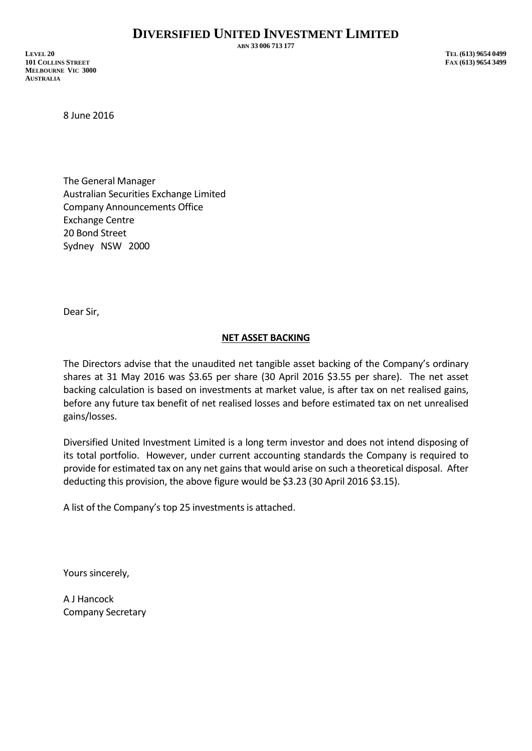**ABN 33 006 713 177**

**LEVEL 20 TEL (613) 9654 0499 101 COLLINS STREET FAX (613) 9654 3499 MELBOURNE VIC 3000 AUSTRALIA**

8 June 2016

The General Manager Australian Securities Exchange Limited Company Announcements Office Exchange Centre 20 Bond Street Sydney NSW 2000

Dear Sir,

## **NET ASSET BACKING**

The Directors advise that the unaudited net tangible asset backing of the Company's ordinary shares at 31 May 2016 was \$3.65 per share (30 April 2016 \$3.55 per share). The net asset backing calculation is based on investments at market value, is after tax on net realised gains, before any future tax benefit of net realised losses and before estimated tax on net unrealised gains/losses.

Diversified United Investment Limited is a long term investor and does not intend disposing of its total portfolio. However, under current accounting standards the Company is required to provide for estimated tax on any net gains that would arise on such a theoretical disposal. After deducting this provision, the above figure would be \$3.23 (30 April 2016 \$3.15).

A list of the Company's top 25 investments is attached.

Yours sincerely,

A J Hancock Company Secretary